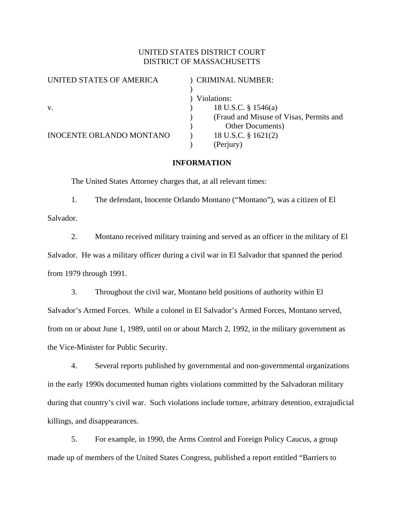# UNITED STATES DISTRICT COURT DISTRICT OF MASSACHUSETTS

| UNITED STATES OF AMERICA        | <b>CRIMINAL NUMBER:</b>                 |
|---------------------------------|-----------------------------------------|
|                                 |                                         |
|                                 | Violations:                             |
| V.                              | 18 U.S.C. § 1546(a)                     |
|                                 | (Fraud and Misuse of Visas, Permits and |
|                                 | <b>Other Documents</b> )                |
| <b>INOCENTE ORLANDO MONTANO</b> | 18 U.S.C. § 1621(2)                     |
|                                 | (Perjury)                               |
|                                 |                                         |

## **INFORMATION**

The United States Attorney charges that, at all relevant times:

1. The defendant, Inocente Orlando Montano ("Montano"), was a citizen of El Salvador.

2. Montano received military training and served as an officer in the military of El Salvador. He was a military officer during a civil war in El Salvador that spanned the period from 1979 through 1991.

3. Throughout the civil war, Montano held positions of authority within El Salvador's Armed Forces. While a colonel in El Salvador's Armed Forces, Montano served, from on or about June 1, 1989, until on or about March 2, 1992, in the military government as the Vice-Minister for Public Security.

4. Several reports published by governmental and non-governmental organizations in the early 1990s documented human rights violations committed by the Salvadoran military during that country's civil war. Such violations include torture, arbitrary detention, extrajudicial killings, and disappearances.

5. For example, in 1990, the Arms Control and Foreign Policy Caucus, a group made up of members of the United States Congress, published a report entitled "Barriers to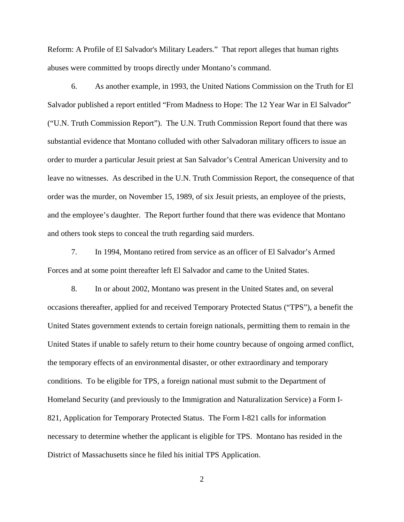Reform: A Profile of El Salvador's Military Leaders." That report alleges that human rights abuses were committed by troops directly under Montano's command.

6. As another example, in 1993, the United Nations Commission on the Truth for El Salvador published a report entitled "From Madness to Hope: The 12 Year War in El Salvador" ("U.N. Truth Commission Report"). The U.N. Truth Commission Report found that there was substantial evidence that Montano colluded with other Salvadoran military officers to issue an order to murder a particular Jesuit priest at San Salvador's Central American University and to leave no witnesses. As described in the U.N. Truth Commission Report, the consequence of that order was the murder, on November 15, 1989, of six Jesuit priests, an employee of the priests, and the employee's daughter. The Report further found that there was evidence that Montano and others took steps to conceal the truth regarding said murders.

7. In 1994, Montano retired from service as an officer of El Salvador's Armed Forces and at some point thereafter left El Salvador and came to the United States.

8. In or about 2002, Montano was present in the United States and, on several occasions thereafter, applied for and received Temporary Protected Status ("TPS"), a benefit the United States government extends to certain foreign nationals, permitting them to remain in the United States if unable to safely return to their home country because of ongoing armed conflict, the temporary effects of an environmental disaster, or other extraordinary and temporary conditions. To be eligible for TPS, a foreign national must submit to the Department of Homeland Security (and previously to the Immigration and Naturalization Service) a Form I-821, Application for Temporary Protected Status. The Form I-821 calls for information necessary to determine whether the applicant is eligible for TPS. Montano has resided in the District of Massachusetts since he filed his initial TPS Application.

2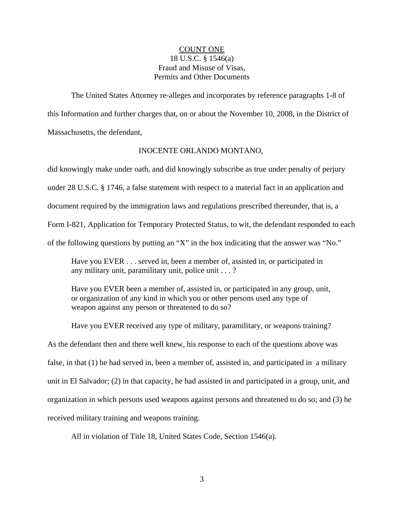## COUNT ONE 18 U.S.C. § 1546(a) Fraud and Misuse of Visas, Permits and Other Documents

The United States Attorney re-alleges and incorporates by reference paragraphs 1-8 of this Information and further charges that, on or about the November 10, 2008, in the District of Massachusetts, the defendant,

#### INOCENTE ORLANDO MONTANO,

did knowingly make under oath, and did knowingly subscribe as true under penalty of perjury under 28 U.S.C. § 1746, a false statement with respect to a material fact in an application and document required by the immigration laws and regulations prescribed thereunder, that is, a Form I-821, Application for Temporary Protected Status, to wit, the defendant responded to each of the following questions by putting an "X" in the box indicating that the answer was "No."

Have you EVER . . . served in, been a member of, assisted in, or participated in any military unit, paramilitary unit, police unit . . . ?

Have you EVER been a member of, assisted in, or participated in any group, unit, or organization of any kind in which you or other persons used any type of weapon against any person or threatened to do so?

Have you EVER received any type of military, paramilitary, or weapons training? As the defendant then and there well knew, his response to each of the questions above was false, in that (1) he had served in, been a member of, assisted in, and participated in a military unit in El Salvador; (2) in that capacity, he had assisted in and participated in a group, unit, and organization in which persons used weapons against persons and threatened to do so; and (3) he received military training and weapons training.

All in violation of Title 18, United States Code, Section 1546(a).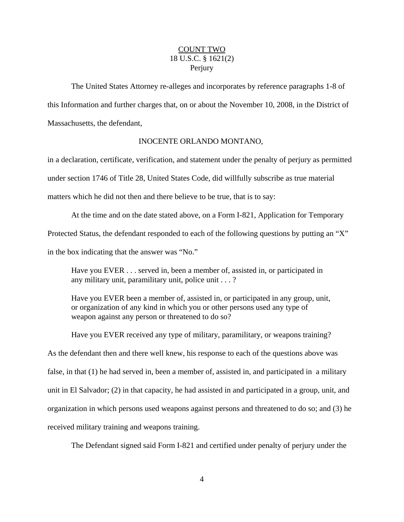# COUNT TWO 18 U.S.C. § 1621(2) **Perjury**

The United States Attorney re-alleges and incorporates by reference paragraphs 1-8 of this Information and further charges that, on or about the November 10, 2008, in the District of Massachusetts, the defendant,

### INOCENTE ORLANDO MONTANO,

in a declaration, certificate, verification, and statement under the penalty of perjury as permitted under section 1746 of Title 28, United States Code, did willfully subscribe as true material matters which he did not then and there believe to be true, that is to say:

At the time and on the date stated above, on a Form I-821, Application for Temporary Protected Status, the defendant responded to each of the following questions by putting an "X" in the box indicating that the answer was "No."

Have you EVER . . . served in, been a member of, assisted in, or participated in any military unit, paramilitary unit, police unit . . . ?

Have you EVER been a member of, assisted in, or participated in any group, unit, or organization of any kind in which you or other persons used any type of weapon against any person or threatened to do so?

Have you EVER received any type of military, paramilitary, or weapons training? As the defendant then and there well knew, his response to each of the questions above was false, in that (1) he had served in, been a member of, assisted in, and participated in a military unit in El Salvador; (2) in that capacity, he had assisted in and participated in a group, unit, and organization in which persons used weapons against persons and threatened to do so; and (3) he received military training and weapons training.

The Defendant signed said Form I-821 and certified under penalty of perjury under the